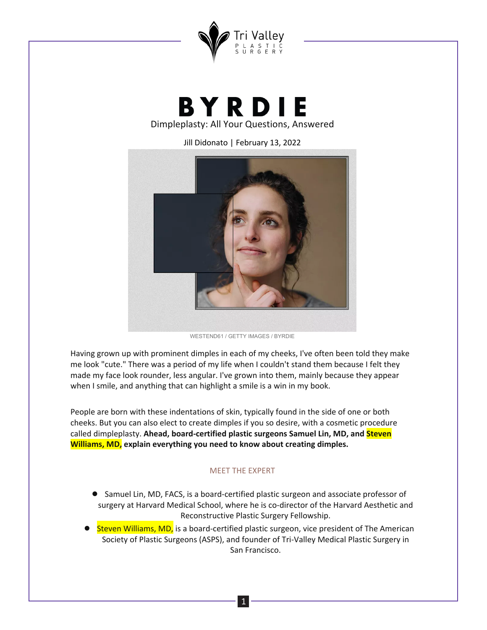

**BYRDIE** Dimpleplasty: All Your Questions, Answered

Jill Didonato | February 13, 2022



WESTEND61 / GETTY IMAGES / BYRDIE

Having grown up with prominent dimples in each of my cheeks, I've often been told they make me look "cute." There was a period of my life when I couldn't stand them because I felt they made my face look rounder, less angular. I've grown into them, mainly because they appear when I smile, and anything that can highlight a smile is a win in my book.

People are born with these indentations of skin, typically found in the side of one or both cheeks. But you can also elect to create dimples if you so desire, with a cosmetic procedure called dimpleplasty. Ahead, board-certified plastic surgeons Samuel Lin, MD, and **Steven Williams, MD,** explain everything you need to know about creating dimples.

## **MEET THE EXPERT**

- Samuel Lin, MD, FACS, is a board-certified plastic surgeon and associate professor of surgery at Harvard Medical School, where he is co-director of the Harvard Aesthetic and Reconstructive Plastic Surgery Fellowship.
- Steven Williams, MD, is a board-certified plastic surgeon, vice president of The American Society of Plastic Surgeons (ASPS), and founder of Tri-Valley Medical Plastic Surgery in San Francisco.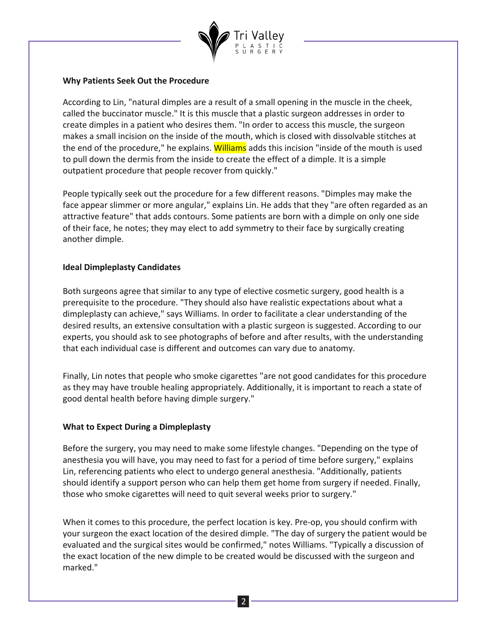

## **Why Patients Seek Out the Procedure**

According to Lin, "natural dimples are a result of a small opening in the muscle in the cheek, called the buccinator muscle." It is this muscle that a plastic surgeon addresses in order to create dimples in a patient who desires them. "In order to access this muscle, the surgeon makes a small incision on the inside of the mouth, which is closed with dissolvable stitches at the end of the procedure," he explains. Williams adds this incision "inside of the mouth is used to pull down the dermis from the inside to create the effect of a dimple. It is a simple outpatient procedure that people recover from quickly."

People typically seek out the procedure for a few different reasons. "Dimples may make the face appear slimmer or more angular," explains Lin. He adds that they "are often regarded as an attractive feature" that adds contours. Some patients are born with a dimple on only one side of their face, he notes; they may elect to add symmetry to their face by surgically creating another dimple.

# **Ideal Dimpleplasty Candidates**

Both surgeons agree that similar to any type of elective cosmetic surgery, good health is a prerequisite to the procedure. "They should also have realistic expectations about what a dimpleplasty can achieve," says Williams. In order to facilitate a clear understanding of the desired results, an extensive consultation with a plastic surgeon is suggested. According to our experts, you should ask to see photographs of before and after results, with the understanding that each individual case is different and outcomes can vary due to anatomy.

Finally, Lin notes that people who smoke cigarettes "are not good candidates for this procedure as they may have trouble healing appropriately. Additionally, it is important to reach a state of good dental health before having dimple surgery."

## **What to Expect During a Dimpleplasty**

Before the surgery, you may need to make some lifestyle changes. "Depending on the type of anesthesia you will have, you may need to fast for a period of time before surgery," explains Lin, referencing patients who elect to undergo general anesthesia. "Additionally, patients should identify a support person who can help them get home from surgery if needed. Finally, those who smoke cigarettes will need to quit several weeks prior to surgery."

When it comes to this procedure, the perfect location is key. Pre-op, you should confirm with your surgeon the exact location of the desired dimple. "The day of surgery the patient would be evaluated and the surgical sites would be confirmed," notes Williams. "Typically a discussion of the exact location of the new dimple to be created would be discussed with the surgeon and marked."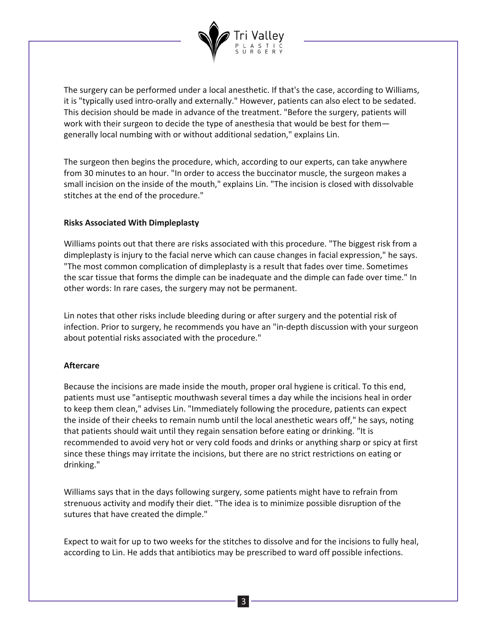

The surgery can be performed under a local anesthetic. If that's the case, according to Williams, it is "typically used intro-orally and externally." However, patients can also elect to be sedated. This decision should be made in advance of the treatment. "Before the surgery, patients will work with their surgeon to decide the type of anesthesia that would be best for them generally local numbing with or without additional sedation," explains Lin.

The surgeon then begins the procedure, which, according to our experts, can take anywhere from 30 minutes to an hour. "In order to access the buccinator muscle, the surgeon makes a small incision on the inside of the mouth," explains Lin. "The incision is closed with dissolvable stitches at the end of the procedure."

#### **Risks Associated With Dimpleplasty**

Williams points out that there are risks associated with this procedure. "The biggest risk from a dimpleplasty is injury to the facial nerve which can cause changes in facial expression," he says. "The most common complication of dimpleplasty is a result that fades over time. Sometimes the scar tissue that forms the dimple can be inadequate and the dimple can fade over time." In other words: In rare cases, the surgery may not be permanent.

Lin notes that other risks include bleeding during or after surgery and the potential risk of infection. Prior to surgery, he recommends you have an "in-depth discussion with your surgeon about potential risks associated with the procedure."

## **Aftercare**

Because the incisions are made inside the mouth, proper oral hygiene is critical. To this end, patients must use "antiseptic mouthwash several times a day while the incisions heal in order to keep them clean," advises Lin. "Immediately following the procedure, patients can expect the inside of their cheeks to remain numb until the local anesthetic wears off," he says, noting that patients should wait until they regain sensation before eating or drinking. "It is recommended to avoid very hot or very cold foods and drinks or anything sharp or spicy at first since these things may irritate the incisions, but there are no strict restrictions on eating or drinking."

Williams says that in the days following surgery, some patients might have to refrain from strenuous activity and modify their diet. "The idea is to minimize possible disruption of the sutures that have created the dimple."

Expect to wait for up to two weeks for the stitches to dissolve and for the incisions to fully heal, according to Lin. He adds that antibiotics may be prescribed to ward off possible infections.